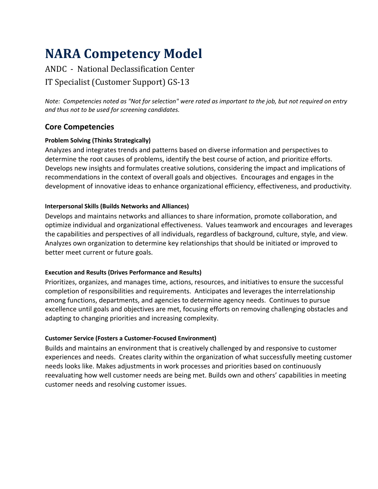# **NARA Competency Model**

## ANDC - National Declassification Center IT Specialist (Customer Support) GS-13

*Note: Competencies noted as "Not for selection" were rated as important to the job, but not required on entry and thus not to be used for screening candidates.*

## **Core Competencies**

## **Problem Solving (Thinks Strategically)**

Analyzes and integrates trends and patterns based on diverse information and perspectives to determine the root causes of problems, identify the best course of action, and prioritize efforts. Develops new insights and formulates creative solutions, considering the impact and implications of recommendations in the context of overall goals and objectives. Encourages and engages in the development of innovative ideas to enhance organizational efficiency, effectiveness, and productivity.

## **Interpersonal Skills (Builds Networks and Alliances)**

Develops and maintains networks and alliances to share information, promote collaboration, and optimize individual and organizational effectiveness. Values teamwork and encourages and leverages the capabilities and perspectives of all individuals, regardless of background, culture, style, and view. Analyzes own organization to determine key relationships that should be initiated or improved to better meet current or future goals.

## **Execution and Results (Drives Performance and Results)**

Prioritizes, organizes, and manages time, actions, resources, and initiatives to ensure the successful completion of responsibilities and requirements. Anticipates and leverages the interrelationship among functions, departments, and agencies to determine agency needs. Continues to pursue excellence until goals and objectives are met, focusing efforts on removing challenging obstacles and adapting to changing priorities and increasing complexity.

## **Customer Service (Fosters a Customer-Focused Environment)**

Builds and maintains an environment that is creatively challenged by and responsive to customer experiences and needs. Creates clarity within the organization of what successfully meeting customer needs looks like. Makes adjustments in work processes and priorities based on continuously reevaluating how well customer needs are being met. Builds own and others' capabilities in meeting customer needs and resolving customer issues.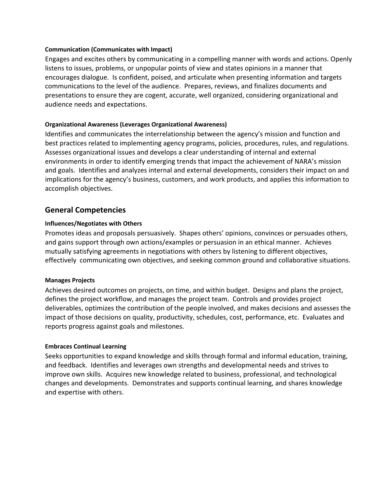#### **Communication (Communicates with Impact)**

Engages and excites others by communicating in a compelling manner with words and actions. Openly listens to issues, problems, or unpopular points of view and states opinions in a manner that encourages dialogue. Is confident, poised, and articulate when presenting information and targets communications to the level of the audience. Prepares, reviews, and finalizes documents and presentations to ensure they are cogent, accurate, well organized, considering organizational and audience needs and expectations.

#### **Organizational Awareness (Leverages Organizational Awareness)**

Identifies and communicates the interrelationship between the agency's mission and function and best practices related to implementing agency programs, policies, procedures, rules, and regulations. Assesses organizational issues and develops a clear understanding of internal and external environments in order to identify emerging trends that impact the achievement of NARA's mission and goals. Identifies and analyzes internal and external developments, considers their impact on and implications for the agency's business, customers, and work products, and applies this information to accomplish objectives.

## **General Competencies**

#### **Influences/Negotiates with Others**

Promotes ideas and proposals persuasively. Shapes others' opinions, convinces or persuades others, and gains support through own actions/examples or persuasion in an ethical manner. Achieves mutually satisfying agreements in negotiations with others by listening to different objectives, effectively communicating own objectives, and seeking common ground and collaborative situations.

#### **Manages Projects**

Achieves desired outcomes on projects, on time, and within budget. Designs and plans the project, defines the project workflow, and manages the project team. Controls and provides project deliverables, optimizes the contribution of the people involved, and makes decisions and assesses the impact of those decisions on quality, productivity, schedules, cost, performance, etc. Evaluates and reports progress against goals and milestones.

#### **Embraces Continual Learning**

Seeks opportunities to expand knowledge and skills through formal and informal education, training, and feedback. Identifies and leverages own strengths and developmental needs and strives to improve own skills. Acquires new knowledge related to business, professional, and technological changes and developments. Demonstrates and supports continual learning, and shares knowledge and expertise with others.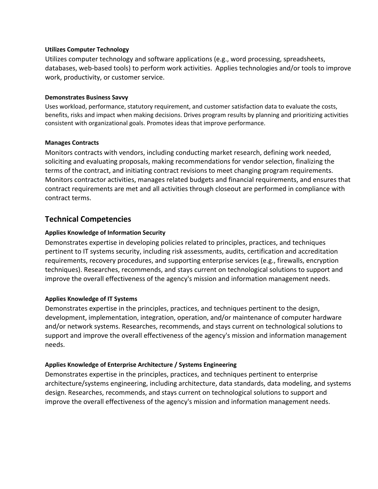#### **Utilizes Computer Technology**

Utilizes computer technology and software applications (e.g., word processing, spreadsheets, databases, web-based tools) to perform work activities. Applies technologies and/or tools to improve work, productivity, or customer service.

#### **Demonstrates Business Savvy**

Uses workload, performance, statutory requirement, and customer satisfaction data to evaluate the costs, benefits, risks and impact when making decisions. Drives program results by planning and prioritizing activities consistent with organizational goals. Promotes ideas that improve performance.

#### **Manages Contracts**

Monitors contracts with vendors, including conducting market research, defining work needed, soliciting and evaluating proposals, making recommendations for vendor selection, finalizing the terms of the contract, and initiating contract revisions to meet changing program requirements. Monitors contractor activities, manages related budgets and financial requirements, and ensures that contract requirements are met and all activities through closeout are performed in compliance with contract terms.

## **Technical Competencies**

#### **Applies Knowledge of Information Security**

Demonstrates expertise in developing policies related to principles, practices, and techniques pertinent to IT systems security, including risk assessments, audits, certification and accreditation requirements, recovery procedures, and supporting enterprise services (e.g., firewalls, encryption techniques). Researches, recommends, and stays current on technological solutions to support and improve the overall effectiveness of the agency's mission and information management needs.

#### **Applies Knowledge of IT Systems**

Demonstrates expertise in the principles, practices, and techniques pertinent to the design, development, implementation, integration, operation, and/or maintenance of computer hardware and/or network systems. Researches, recommends, and stays current on technological solutions to support and improve the overall effectiveness of the agency's mission and information management needs.

#### **Applies Knowledge of Enterprise Architecture / Systems Engineering**

Demonstrates expertise in the principles, practices, and techniques pertinent to enterprise architecture/systems engineering, including architecture, data standards, data modeling, and systems design. Researches, recommends, and stays current on technological solutions to support and improve the overall effectiveness of the agency's mission and information management needs.